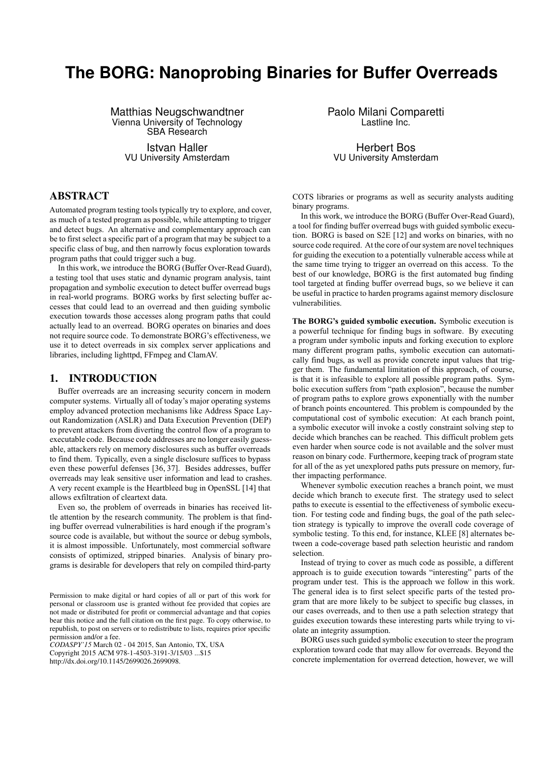# **The BORG: Nanoprobing Binaries for Buffer Overreads**

Matthias Neugschwandtner Vienna University of Technology SBA Research

> Istvan Haller VU University Amsterdam

# ABSTRACT

Automated program testing tools typically try to explore, and cover, as much of a tested program as possible, while attempting to trigger and detect bugs. An alternative and complementary approach can be to first select a specific part of a program that may be subject to a specific class of bug, and then narrowly focus exploration towards program paths that could trigger such a bug.

In this work, we introduce the BORG (Buffer Over-Read Guard), a testing tool that uses static and dynamic program analysis, taint propagation and symbolic execution to detect buffer overread bugs in real-world programs. BORG works by first selecting buffer accesses that could lead to an overread and then guiding symbolic execution towards those accesses along program paths that could actually lead to an overread. BORG operates on binaries and does not require source code. To demonstrate BORG's effectiveness, we use it to detect overreads in six complex server applications and libraries, including lighttpd, FFmpeg and ClamAV.

# 1. INTRODUCTION

Buffer overreads are an increasing security concern in modern computer systems. Virtually all of today's major operating systems employ advanced protection mechanisms like Address Space Layout Randomization (ASLR) and Data Execution Prevention (DEP) to prevent attackers from diverting the control flow of a program to executable code. Because code addresses are no longer easily guessable, attackers rely on memory disclosures such as buffer overreads to find them. Typically, even a single disclosure suffices to bypass even these powerful defenses [36, 37]. Besides addresses, buffer overreads may leak sensitive user information and lead to crashes. A very recent example is the Heartbleed bug in OpenSSL [14] that allows exfiltration of cleartext data.

Even so, the problem of overreads in binaries has received little attention by the research community. The problem is that finding buffer overread vulnerabilities is hard enough if the program's source code is available, but without the source or debug symbols, it is almost impossible. Unfortunately, most commercial software consists of optimized, stripped binaries. Analysis of binary programs is desirable for developers that rely on compiled third-party

*CODASPY'15* March 02 - 04 2015, San Antonio, TX, USA

Copyright 2015 ACM 978-1-4503-3191-3/15/03 ...\$15 http://dx.doi.org/10.1145/2699026.2699098.

Paolo Milani Comparetti Lastline Inc.

Herbert Bos VU University Amsterdam

COTS libraries or programs as well as security analysts auditing binary programs.

In this work, we introduce the BORG (Buffer Over-Read Guard), a tool for finding buffer overread bugs with guided symbolic execution. BORG is based on S2E [12] and works on binaries, with no source code required. At the core of our system are novel techniques for guiding the execution to a potentially vulnerable access while at the same time trying to trigger an overread on this access. To the best of our knowledge, BORG is the first automated bug finding tool targeted at finding buffer overread bugs, so we believe it can be useful in practice to harden programs against memory disclosure vulnerabilities.

**The BORG's guided symbolic execution.** Symbolic execution is a powerful technique for finding bugs in software. By executing a program under symbolic inputs and forking execution to explore many different program paths, symbolic execution can automatically find bugs, as well as provide concrete input values that trigger them. The fundamental limitation of this approach, of course, is that it is infeasible to explore all possible program paths. Symbolic execution suffers from "path explosion", because the number of program paths to explore grows exponentially with the number of branch points encountered. This problem is compounded by the computational cost of symbolic execution: At each branch point, a symbolic executor will invoke a costly constraint solving step to decide which branches can be reached. This difficult problem gets even harder when source code is not available and the solver must reason on binary code. Furthermore, keeping track of program state for all of the as yet unexplored paths puts pressure on memory, further impacting performance.

Whenever symbolic execution reaches a branch point, we must decide which branch to execute first. The strategy used to select paths to execute is essential to the effectiveness of symbolic execution. For testing code and finding bugs, the goal of the path selection strategy is typically to improve the overall code coverage of symbolic testing. To this end, for instance, KLEE [8] alternates between a code-coverage based path selection heuristic and random selection.

Instead of trying to cover as much code as possible, a different approach is to guide execution towards "interesting" parts of the program under test. This is the approach we follow in this work. The general idea is to first select specific parts of the tested program that are more likely to be subject to specific bug classes, in our cases overreads, and to then use a path selection strategy that guides execution towards these interesting parts while trying to violate an integrity assumption.

BORG uses such guided symbolic execution to steer the program exploration toward code that may allow for overreads. Beyond the concrete implementation for overread detection, however, we will

Permission to make digital or hard copies of all or part of this work for personal or classroom use is granted without fee provided that copies are not made or distributed for profit or commercial advantage and that copies bear this notice and the full citation on the first page. To copy otherwise, to republish, to post on servers or to redistribute to lists, requires prior specific permission and/or a fee.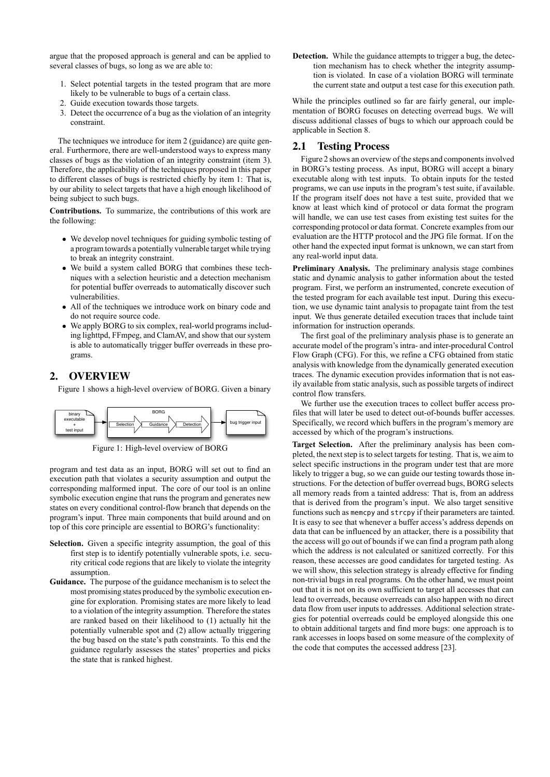argue that the proposed approach is general and can be applied to several classes of bugs, so long as we are able to:

- 1. Select potential targets in the tested program that are more likely to be vulnerable to bugs of a certain class.
- 2. Guide execution towards those targets.
- 3. Detect the occurrence of a bug as the violation of an integrity constraint.

The techniques we introduce for item 2 (guidance) are quite general. Furthermore, there are well-understood ways to express many classes of bugs as the violation of an integrity constraint (item 3). Therefore, the applicability of the techniques proposed in this paper to different classes of bugs is restricted chiefly by item 1: That is, by our ability to select targets that have a high enough likelihood of being subject to such bugs.

**Contributions.** To summarize, the contributions of this work are the following:

- We develop novel techniques for guiding symbolic testing of a program towards a potentially vulnerable target while trying to break an integrity constraint.
- *•* We build a system called BORG that combines these techniques with a selection heuristic and a detection mechanism for potential buffer overreads to automatically discover such vulnerabilities.
- *•* All of the techniques we introduce work on binary code and do not require source code.
- We apply BORG to six complex, real-world programs including lighttpd, FFmpeg, and ClamAV, and show that our system is able to automatically trigger buffer overreads in these programs.

## 2. OVERVIEW

Figure 1 shows a high-level overview of BORG. Given a binary



Figure 1: High-level overview of BORG

program and test data as an input, BORG will set out to find an execution path that violates a security assumption and output the corresponding malformed input. The core of our tool is an online symbolic execution engine that runs the program and generates new states on every conditional control-flow branch that depends on the program's input. Three main components that build around and on top of this core principle are essential to BORG's functionality:

- **Selection.** Given a specific integrity assumption, the goal of this first step is to identify potentially vulnerable spots, i.e. security critical code regions that are likely to violate the integrity assumption.
- **Guidance.** The purpose of the guidance mechanism is to select the most promising states produced by the symbolic execution engine for exploration. Promising states are more likely to lead to a violation of the integrity assumption. Therefore the states are ranked based on their likelihood to (1) actually hit the potentially vulnerable spot and (2) allow actually triggering the bug based on the state's path constraints. To this end the guidance regularly assesses the states' properties and picks the state that is ranked highest.

**Detection.** While the guidance attempts to trigger a bug, the detection mechanism has to check whether the integrity assumption is violated. In case of a violation BORG will terminate the current state and output a test case for this execution path.

While the principles outlined so far are fairly general, our implementation of BORG focuses on detecting overread bugs. We will discuss additional classes of bugs to which our approach could be applicable in Section 8.

## 2.1 Testing Process

Figure 2 shows an overview of the steps and components involved in BORG's testing process. As input, BORG will accept a binary executable along with test inputs. To obtain inputs for the tested programs, we can use inputs in the program's test suite, if available. If the program itself does not have a test suite, provided that we know at least which kind of protocol or data format the program will handle, we can use test cases from existing test suites for the corresponding protocol or data format. Concrete examples from our evaluation are the HTTP protocol and the JPG file format. If on the other hand the expected input format is unknown, we can start from any real-world input data.

**Preliminary Analysis.** The preliminary analysis stage combines static and dynamic analysis to gather information about the tested program. First, we perform an instrumented, concrete execution of the tested program for each available test input. During this execution, we use dynamic taint analysis to propagate taint from the test input. We thus generate detailed execution traces that include taint information for instruction operands.

The first goal of the preliminary analysis phase is to generate an accurate model of the program's intra- and inter-procedural Control Flow Graph (CFG). For this, we refine a CFG obtained from static analysis with knowledge from the dynamically generated execution traces. The dynamic execution provides information that is not easily available from static analysis, such as possible targets of indirect control flow transfers.

We further use the execution traces to collect buffer access profiles that will later be used to detect out-of-bounds buffer accesses. Specifically, we record which buffers in the program's memory are accessed by which of the program's instructions.

**Target Selection.** After the preliminary analysis has been completed, the next step is to select targets for testing. That is, we aim to select specific instructions in the program under test that are more likely to trigger a bug, so we can guide our testing towards those instructions. For the detection of buffer overread bugs, BORG selects all memory reads from a tainted address: That is, from an address that is derived from the program's input. We also target sensitive functions such as memcpy and strcpy if their parameters are tainted. It is easy to see that whenever a buffer access's address depends on data that can be influenced by an attacker, there is a possibility that the access will go out of bounds if we can find a program path along which the address is not calculated or sanitized correctly. For this reason, these accesses are good candidates for targeted testing. As we will show, this selection strategy is already effective for finding non-trivial bugs in real programs. On the other hand, we must point out that it is not on its own sufficient to target all accesses that can lead to overreads, because overreads can also happen with no direct data flow from user inputs to addresses. Additional selection strategies for potential overreads could be employed alongside this one to obtain additional targets and find more bugs: one approach is to rank accesses in loops based on some measure of the complexity of the code that computes the accessed address [23].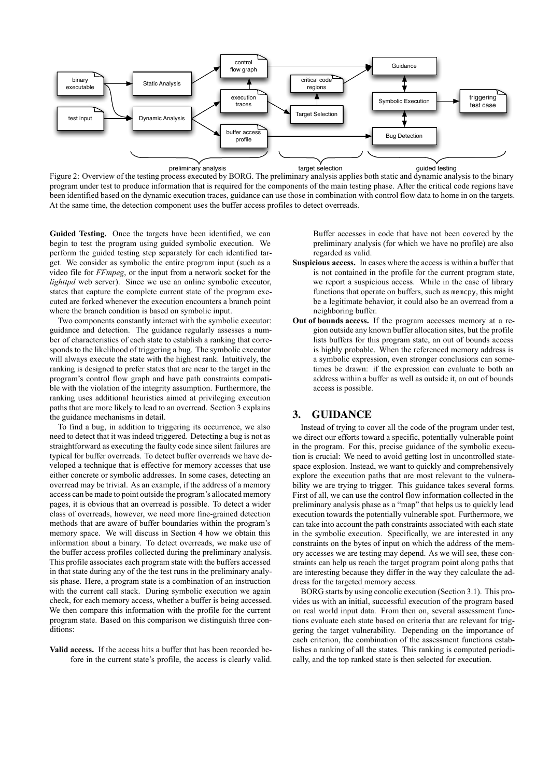

Figure 2: Overview of the testing process executed by BORG. The preliminary analysis applies both static and dynamic analysis to the binary program under test to produce information that is required for the components of the main testing phase. After the critical code regions have been identified based on the dynamic execution traces, guidance can use those in combination with control flow data to home in on the targets. At the same time, the detection component uses the buffer access profiles to detect overreads.

**Guided Testing.** Once the targets have been identified, we can begin to test the program using guided symbolic execution. We perform the guided testing step separately for each identified target. We consider as symbolic the entire program input (such as a video file for *FFmpeg*, or the input from a network socket for the *lighttpd* web server). Since we use an online symbolic executor, states that capture the complete current state of the program executed are forked whenever the execution encounters a branch point where the branch condition is based on symbolic input.

Two components constantly interact with the symbolic executor: guidance and detection. The guidance regularly assesses a number of characteristics of each state to establish a ranking that corresponds to the likelihood of triggering a bug. The symbolic executor will always execute the state with the highest rank. Intuitively, the ranking is designed to prefer states that are near to the target in the program's control flow graph and have path constraints compatible with the violation of the integrity assumption. Furthermore, the ranking uses additional heuristics aimed at privileging execution paths that are more likely to lead to an overread. Section 3 explains the guidance mechanisms in detail.

To find a bug, in addition to triggering its occurrence, we also need to detect that it was indeed triggered. Detecting a bug is not as straightforward as executing the faulty code since silent failures are typical for buffer overreads. To detect buffer overreads we have developed a technique that is effective for memory accesses that use either concrete or symbolic addresses. In some cases, detecting an overread may be trivial. As an example, if the address of a memory access can be made to point outside the program's allocated memory pages, it is obvious that an overread is possible. To detect a wider class of overreads, however, we need more fine-grained detection methods that are aware of buffer boundaries within the program's memory space. We will discuss in Section 4 how we obtain this information about a binary. To detect overreads, we make use of the buffer access profiles collected during the preliminary analysis. This profile associates each program state with the buffers accessed in that state during any of the the test runs in the preliminary analysis phase. Here, a program state is a combination of an instruction with the current call stack. During symbolic execution we again check, for each memory access, whether a buffer is being accessed. We then compare this information with the profile for the current program state. Based on this comparison we distinguish three conditions:

**Valid access.** If the access hits a buffer that has been recorded before in the current state's profile, the access is clearly valid. Buffer accesses in code that have not been covered by the preliminary analysis (for which we have no profile) are also regarded as valid.

- **Suspicious access.** In cases where the access is within a buffer that is not contained in the profile for the current program state, we report a suspicious access. While in the case of library functions that operate on buffers, such as memcpy, this might be a legitimate behavior, it could also be an overread from a neighboring buffer.
- **Out of bounds access.** If the program accesses memory at a region outside any known buffer allocation sites, but the profile lists buffers for this program state, an out of bounds access is highly probable. When the referenced memory address is a symbolic expression, even stronger conclusions can sometimes be drawn: if the expression can evaluate to both an address within a buffer as well as outside it, an out of bounds access is possible.

## 3. GUIDANCE

Instead of trying to cover all the code of the program under test, we direct our efforts toward a specific, potentially vulnerable point in the program. For this, precise guidance of the symbolic execution is crucial: We need to avoid getting lost in uncontrolled statespace explosion. Instead, we want to quickly and comprehensively explore the execution paths that are most relevant to the vulnerability we are trying to trigger. This guidance takes several forms. First of all, we can use the control flow information collected in the preliminary analysis phase as a "map" that helps us to quickly lead execution towards the potentially vulnerable spot. Furthermore, we can take into account the path constraints associated with each state in the symbolic execution. Specifically, we are interested in any constraints on the bytes of input on which the address of the memory accesses we are testing may depend. As we will see, these constraints can help us reach the target program point along paths that are interesting because they differ in the way they calculate the address for the targeted memory access.

BORG starts by using concolic execution (Section 3.1). This provides us with an initial, successful execution of the program based on real world input data. From then on, several assessment functions evaluate each state based on criteria that are relevant for triggering the target vulnerability. Depending on the importance of each criterion, the combination of the assessment functions establishes a ranking of all the states. This ranking is computed periodically, and the top ranked state is then selected for execution.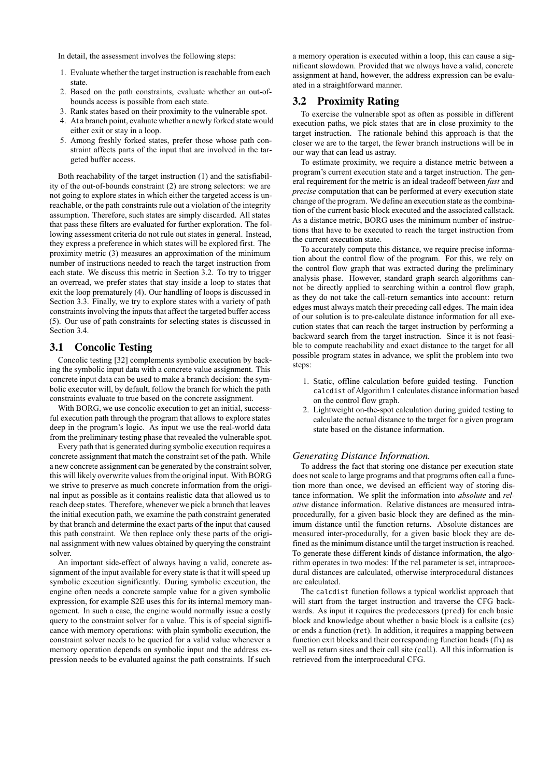In detail, the assessment involves the following steps:

- 1. Evaluate whether the target instruction is reachable from each state.
- 2. Based on the path constraints, evaluate whether an out-ofbounds access is possible from each state.
- 3. Rank states based on their proximity to the vulnerable spot.
- 4. At a branch point, evaluate whether a newly forked state would either exit or stay in a loop.
- 5. Among freshly forked states, prefer those whose path constraint affects parts of the input that are involved in the targeted buffer access.

Both reachability of the target instruction (1) and the satisfiability of the out-of-bounds constraint (2) are strong selectors: we are not going to explore states in which either the targeted access is unreachable, or the path constraints rule out a violation of the integrity assumption. Therefore, such states are simply discarded. All states that pass these filters are evaluated for further exploration. The following assessment criteria do not rule out states in general. Instead, they express a preference in which states will be explored first. The proximity metric (3) measures an approximation of the minimum number of instructions needed to reach the target instruction from each state. We discuss this metric in Section 3.2. To try to trigger an overread, we prefer states that stay inside a loop to states that exit the loop prematurely (4). Our handling of loops is discussed in Section 3.3. Finally, we try to explore states with a variety of path constraints involving the inputs that affect the targeted buffer access (5). Our use of path constraints for selecting states is discussed in Section 3.4.

## 3.1 Concolic Testing

Concolic testing [32] complements symbolic execution by backing the symbolic input data with a concrete value assignment. This concrete input data can be used to make a branch decision: the symbolic executor will, by default, follow the branch for which the path constraints evaluate to true based on the concrete assignment.

With BORG, we use concolic execution to get an initial, successful execution path through the program that allows to explore states deep in the program's logic. As input we use the real-world data from the preliminary testing phase that revealed the vulnerable spot.

Every path that is generated during symbolic execution requires a concrete assignment that match the constraint set of the path. While a new concrete assignment can be generated by the constraint solver, this will likely overwrite values from the original input. With BORG we strive to preserve as much concrete information from the original input as possible as it contains realistic data that allowed us to reach deep states. Therefore, whenever we pick a branch that leaves the initial execution path, we examine the path constraint generated by that branch and determine the exact parts of the input that caused this path constraint. We then replace only these parts of the original assignment with new values obtained by querying the constraint solver.

An important side-effect of always having a valid, concrete assignment of the input available for every state is that it will speed up symbolic execution significantly. During symbolic execution, the engine often needs a concrete sample value for a given symbolic expression, for example S2E uses this for its internal memory management. In such a case, the engine would normally issue a costly query to the constraint solver for a value. This is of special significance with memory operations: with plain symbolic execution, the constraint solver needs to be queried for a valid value whenever a memory operation depends on symbolic input and the address expression needs to be evaluated against the path constraints. If such

a memory operation is executed within a loop, this can cause a significant slowdown. Provided that we always have a valid, concrete assignment at hand, however, the address expression can be evaluated in a straightforward manner.

## 3.2 Proximity Rating

To exercise the vulnerable spot as often as possible in different execution paths, we pick states that are in close proximity to the target instruction. The rationale behind this approach is that the closer we are to the target, the fewer branch instructions will be in our way that can lead us astray.

To estimate proximity, we require a distance metric between a program's current execution state and a target instruction. The general requirement for the metric is an ideal tradeoff between *fast* and *precise* computation that can be performed at every execution state change of the program. We define an execution state as the combination of the current basic block executed and the associated callstack. As a distance metric, BORG uses the minimum number of instructions that have to be executed to reach the target instruction from the current execution state.

To accurately compute this distance, we require precise information about the control flow of the program. For this, we rely on the control flow graph that was extracted during the preliminary analysis phase. However, standard graph search algorithms cannot be directly applied to searching within a control flow graph, as they do not take the call-return semantics into account: return edges must always match their preceding call edges. The main idea of our solution is to pre-calculate distance information for all execution states that can reach the target instruction by performing a backward search from the target instruction. Since it is not feasible to compute reachability and exact distance to the target for all possible program states in advance, we split the problem into two steps:

- 1. Static, offline calculation before guided testing. Function calcdist of Algorithm 1 calculates distance information based on the control flow graph.
- 2. Lightweight on-the-spot calculation during guided testing to calculate the actual distance to the target for a given program state based on the distance information.

#### *Generating Distance Information.*

To address the fact that storing one distance per execution state does not scale to large programs and that programs often call a function more than once, we devised an efficient way of storing distance information. We split the information into *absolute* and *relative* distance information. Relative distances are measured intraprocedurally, for a given basic block they are defined as the minimum distance until the function returns. Absolute distances are measured inter-procedurally, for a given basic block they are defined as the minimum distance until the target instruction is reached. To generate these different kinds of distance information, the algorithm operates in two modes: If the rel parameter is set, intraprocedural distances are calculated, otherwise interprocedural distances are calculated.

The calcdist function follows a typical worklist approach that will start from the target instruction and traverse the CFG backwards. As input it requires the predecessors (pred) for each basic block and knowledge about whether a basic block is a callsite (cs) or ends a function (ret). In addition, it requires a mapping between function exit blocks and their corresponding function heads (fh) as well as return sites and their call site (call). All this information is retrieved from the interprocedural CFG.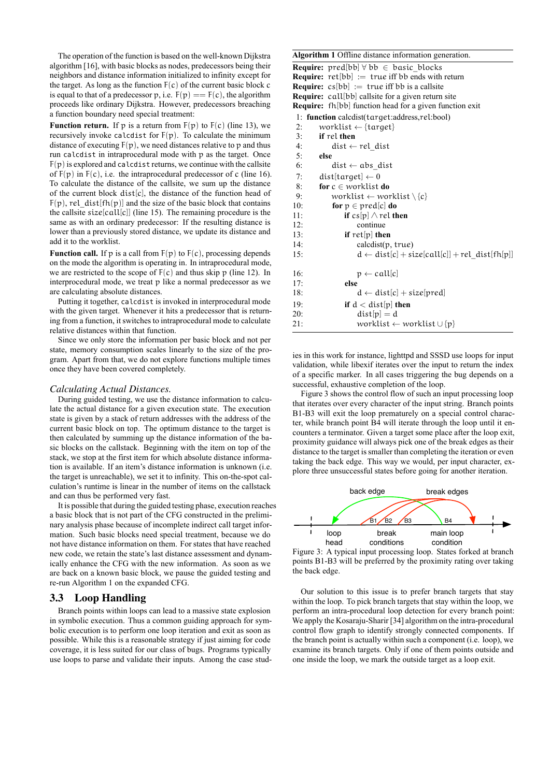The operation of the function is based on the well-known Dijkstra algorithm [16], with basic blocks as nodes, predecessors being their neighbors and distance information initialized to infinity except for the target. As long as the function  $F(c)$  of the current basic block c is equal to that of a predecessor p, i.e.  $F(p) == F(c)$ , the algorithm proceeds like ordinary Dijkstra. However, predecessors breaching a function boundary need special treatment:

**Function return.** If p is a return from  $F(p)$  to  $F(c)$  (line 13), we recursively invoke calcdist for  $F(p)$ . To calculate the minimum distance of executing  $F(p)$ , we need distances relative to p and thus run calcdist in intraprocedural mode with p as the target. Once  $F(p)$  is explored and calcdist returns, we continue with the callsite of  $F(p)$  in  $F(c)$ , i.e. the intraprocedural predecessor of c (line 16). To calculate the distance of the callsite, we sum up the distance of the current block dist $[c]$ , the distance of the function head of  $F(p)$ , rel\_dist[fh(p)] and the size of the basic block that contains the callsite  $size[call[c]]$  (line 15). The remaining procedure is the same as with an ordinary predecessor: If the resulting distance is lower than a previously stored distance, we update its distance and add it to the worklist.

**Function call.** If p is a call from  $F(p)$  to  $F(c)$ , processing depends on the mode the algorithm is operating in. In intraprocedural mode, we are restricted to the scope of  $F(c)$  and thus skip p (line 12). In interprocedural mode, we treat p like a normal predecessor as we are calculating absolute distances.

Putting it together, calcdist is invoked in interprocedural mode with the given target. Whenever it hits a predecessor that is returning from a function, it switches to intraprocedural mode to calculate relative distances within that function.

Since we only store the information per basic block and not per state, memory consumption scales linearly to the size of the program. Apart from that, we do not explore functions multiple times once they have been covered completely.

#### *Calculating Actual Distances.*

During guided testing, we use the distance information to calculate the actual distance for a given execution state. The execution state is given by a stack of return addresses with the address of the current basic block on top. The optimum distance to the target is then calculated by summing up the distance information of the basic blocks on the callstack. Beginning with the item on top of the stack, we stop at the first item for which absolute distance information is available. If an item's distance information is unknown (i.e. the target is unreachable), we set it to infinity. This on-the-spot calculation's runtime is linear in the number of items on the callstack and can thus be performed very fast.

It is possible that during the guided testing phase, execution reaches a basic block that is not part of the CFG constructed in the preliminary analysis phase because of incomplete indirect call target information. Such basic blocks need special treatment, because we do not have distance information on them. For states that have reached new code, we retain the state's last distance assessment and dynamically enhance the CFG with the new information. As soon as we are back on a known basic block, we pause the guided testing and re-run Algorithm 1 on the expanded CFG.

#### 3.3 Loop Handling

Branch points within loops can lead to a massive state explosion in symbolic execution. Thus a common guiding approach for symbolic execution is to perform one loop iteration and exit as soon as possible. While this is a reasonable strategy if just aiming for code coverage, it is less suited for our class of bugs. Programs typically use loops to parse and validate their inputs. Among the case stud-

# **Algorithm 1** Offline distance information generation.

|                   | <b>Require:</b> pred[bb] $\forall$ bb $\in$ basic blocks       |  |  |  |  |  |
|-------------------|----------------------------------------------------------------|--|--|--|--|--|
|                   | <b>Require:</b> $ret[bb] := true$ iff bb ends with return      |  |  |  |  |  |
|                   | <b>Require:</b> $cs [bb] := true$ iff bb is a callsite         |  |  |  |  |  |
|                   | <b>Require:</b> call [bb] callsite for a given return site     |  |  |  |  |  |
|                   | <b>Require:</b> fh[bb] function head for a given function exit |  |  |  |  |  |
|                   | 1: function calcdist(target:address,rel:bool)                  |  |  |  |  |  |
| 2:                | worklist $\leftarrow$ {target}                                 |  |  |  |  |  |
| 3:<br>if rel then |                                                                |  |  |  |  |  |
| 4:                | dist $\leftarrow$ rel dist                                     |  |  |  |  |  |
| 5:<br>else        |                                                                |  |  |  |  |  |
| 6:                | dist $\leftarrow$ abs dist                                     |  |  |  |  |  |
| 7:                | $dist[target] \leftarrow 0$                                    |  |  |  |  |  |
| 8:                | for $c \in$ worklist do                                        |  |  |  |  |  |
| 9:                | worklist $\leftarrow$ worklist $\setminus \{c\}$               |  |  |  |  |  |
| 10:               | for $p \in pred[c]$ do                                         |  |  |  |  |  |
| 11:               | if $cs[p] \wedge rel$ then                                     |  |  |  |  |  |
| 12:               | continue                                                       |  |  |  |  |  |
| 13:               | if $ret[p]$ then                                               |  |  |  |  |  |
| 14:               | calicity, true)                                                |  |  |  |  |  |
| 15:               | $d \leftarrow dist[c] + size[call[c]] + rel dist[fh[p]]$       |  |  |  |  |  |
| 16:               | $p \leftarrow \text{call}[c]$                                  |  |  |  |  |  |
| 17:               | else                                                           |  |  |  |  |  |
| 18:               | $d \leftarrow dist[c] + size[pred]$                            |  |  |  |  |  |
| 19:               | if $d < dist[p]$ then                                          |  |  |  |  |  |
| 20:               | $dist[p] = d$                                                  |  |  |  |  |  |
| 21:               | worklist $\leftarrow$ worklist $\cup \{p\}$                    |  |  |  |  |  |

ies in this work for instance, lighttpd and SSSD use loops for input validation, while libexif iterates over the input to return the index of a specific marker. In all cases triggering the bug depends on a successful, exhaustive completion of the loop.

Figure 3 shows the control flow of such an input processing loop that iterates over every character of the input string. Branch points B1-B3 will exit the loop prematurely on a special control character, while branch point B4 will iterate through the loop until it encounters a terminator. Given a target some place after the loop exit, proximity guidance will always pick one of the break edges as their distance to the target is smaller than completing the iteration or even taking the back edge. This way we would, per input character, explore three unsuccessful states before going for another iteration.



Figure 3: A typical input processing loop. States forked at branch points B1-B3 will be preferred by the proximity rating over taking the back edge.

Our solution to this issue is to prefer branch targets that stay within the loop. To pick branch targets that stay within the loop, we perform an intra-procedural loop detection for every branch point: We apply the Kosaraju-Sharir [34] algorithm on the intra-procedural control flow graph to identify strongly connected components. If the branch point is actually within such a component (i.e. loop), we examine its branch targets. Only if one of them points outside and one inside the loop, we mark the outside target as a loop exit.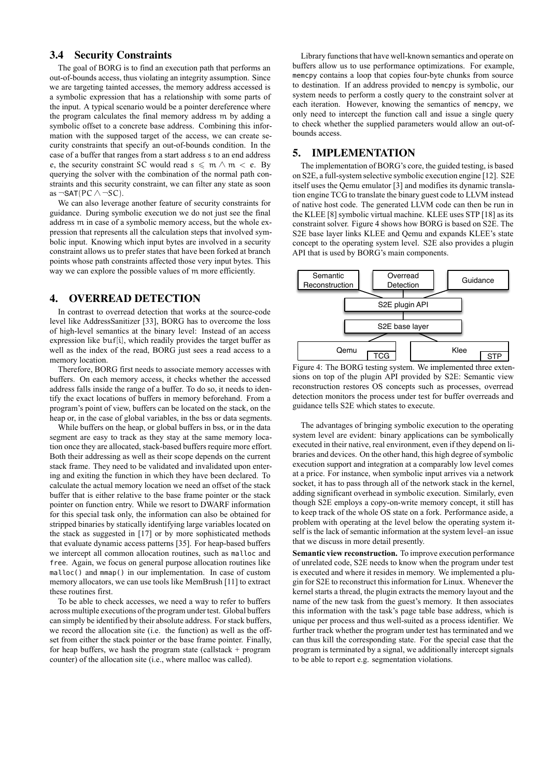# 3.4 Security Constraints

The goal of BORG is to find an execution path that performs an out-of-bounds access, thus violating an integrity assumption. Since we are targeting tainted accesses, the memory address accessed is a symbolic expression that has a relationship with some parts of the input. A typical scenario would be a pointer dereference where the program calculates the final memory address m by adding a symbolic offset to a concrete base address. Combining this information with the supposed target of the access, we can create security constraints that specify an out-of-bounds condition. In the case of a buffer that ranges from a start address s to an end address e, the security constraint SC would read  $s \leq m \wedge m < e$ . By querying the solver with the combination of the normal path constraints and this security constraint, we can filter any state as soon as  $\neg$ SAT(PC  $\wedge \neg SC$ ).

We can also leverage another feature of security constraints for guidance. During symbolic execution we do not just see the final address m in case of a symbolic memory access, but the whole expression that represents all the calculation steps that involved symbolic input. Knowing which input bytes are involved in a security constraint allows us to prefer states that have been forked at branch points whose path constraints affected those very input bytes. This way we can explore the possible values of m more efficiently.

# 4. OVERREAD DETECTION

In contrast to overread detection that works at the source-code level like AddressSanitizer [33], BORG has to overcome the loss of high-level semantics at the binary level: Instead of an access expression like buf[i], which readily provides the target buffer as well as the index of the read, BORG just sees a read access to a memory location.

Therefore, BORG first needs to associate memory accesses with buffers. On each memory access, it checks whether the accessed address falls inside the range of a buffer. To do so, it needs to identify the exact locations of buffers in memory beforehand. From a program's point of view, buffers can be located on the stack, on the heap or, in the case of global variables, in the bss or data segments.

While buffers on the heap, or global buffers in bss, or in the data segment are easy to track as they stay at the same memory location once they are allocated, stack-based buffers require more effort. Both their addressing as well as their scope depends on the current stack frame. They need to be validated and invalidated upon entering and exiting the function in which they have been declared. To calculate the actual memory location we need an offset of the stack buffer that is either relative to the base frame pointer or the stack pointer on function entry. While we resort to DWARF information for this special task only, the information can also be obtained for stripped binaries by statically identifying large variables located on the stack as suggested in [17] or by more sophisticated methods that evaluate dynamic access patterns [35]. For heap-based buffers we intercept all common allocation routines, such as malloc and free. Again, we focus on general purpose allocation routines like malloc() and mmap() in our implementation. In case of custom memory allocators, we can use tools like MemBrush [11] to extract these routines first.

To be able to check accesses, we need a way to refer to buffers across multiple executions of the program under test. Global buffers can simply be identified by their absolute address. For stack buffers, we record the allocation site (i.e. the function) as well as the offset from either the stack pointer or the base frame pointer. Finally, for heap buffers, we hash the program state (callstack + program counter) of the allocation site (i.e., where malloc was called).

Library functions that have well-known semantics and operate on buffers allow us to use performance optimizations. For example, memcpy contains a loop that copies four-byte chunks from source to destination. If an address provided to memcpy is symbolic, our system needs to perform a costly query to the constraint solver at each iteration. However, knowing the semantics of memcpy, we only need to intercept the function call and issue a single query to check whether the supplied parameters would allow an out-ofbounds access.

#### 5. IMPLEMENTATION

The implementation of BORG's core, the guided testing, is based on S2E, a full-system selective symbolic execution engine [12]. S2E itself uses the Qemu emulator [3] and modifies its dynamic translation engine TCG to translate the binary guest code to LLVM instead of native host code. The generated LLVM code can then be run in the KLEE [8] symbolic virtual machine. KLEE uses STP [18] as its constraint solver. Figure 4 shows how BORG is based on S2E. The S2E base layer links KLEE and Qemu and expands KLEE's state concept to the operating system level. S2E also provides a plugin API that is used by BORG's main components.



Figure 4: The BORG testing system. We implemented three extensions on top of the plugin API provided by S2E: Semantic view reconstruction restores OS concepts such as processes, overread detection monitors the process under test for buffer overreads and guidance tells S2E which states to execute.

The advantages of bringing symbolic execution to the operating system level are evident: binary applications can be symbolically executed in their native, real environment, even if they depend on libraries and devices. On the other hand, this high degree of symbolic execution support and integration at a comparably low level comes at a price. For instance, when symbolic input arrives via a network socket, it has to pass through all of the network stack in the kernel, adding significant overhead in symbolic execution. Similarly, even though S2E employs a copy-on-write memory concept, it still has to keep track of the whole OS state on a fork. Performance aside, a problem with operating at the level below the operating system itself is the lack of semantic information at the system level–an issue that we discuss in more detail presently.

**Semantic view reconstruction.** To improve execution performance of unrelated code, S2E needs to know when the program under test is executed and where it resides in memory. We implemented a plugin for S2E to reconstruct this information for Linux. Whenever the kernel starts a thread, the plugin extracts the memory layout and the name of the new task from the guest's memory. It then associates this information with the task's page table base address, which is unique per process and thus well-suited as a process identifier. We further track whether the program under test has terminated and we can thus kill the corresponding state. For the special case that the program is terminated by a signal, we additionally intercept signals to be able to report e.g. segmentation violations.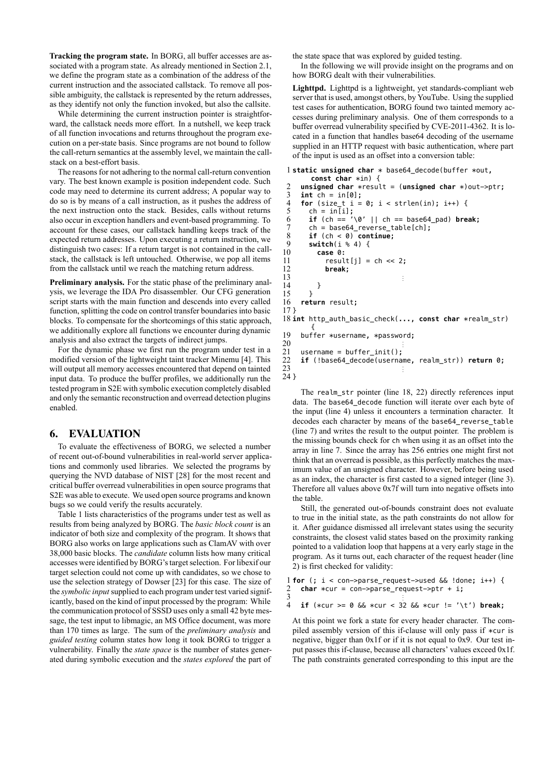**Tracking the program state.** In BORG, all buffer accesses are associated with a program state. As already mentioned in Section 2.1, we define the program state as a combination of the address of the current instruction and the associated callstack. To remove all possible ambiguity, the callstack is represented by the return addresses, as they identify not only the function invoked, but also the callsite.

While determining the current instruction pointer is straightforward, the callstack needs more effort. In a nutshell, we keep track of all function invocations and returns throughout the program execution on a per-state basis. Since programs are not bound to follow the call-return semantics at the assembly level, we maintain the callstack on a best-effort basis.

The reasons for not adhering to the normal call-return convention vary. The best known example is position independent code. Such code may need to determine its current address; A popular way to do so is by means of a call instruction, as it pushes the address of the next instruction onto the stack. Besides, calls without returns also occur in exception handlers and event-based programming. To account for these cases, our callstack handling keeps track of the expected return addresses. Upon executing a return instruction, we distinguish two cases: If a return target is not contained in the callstack, the callstack is left untouched. Otherwise, we pop all items from the callstack until we reach the matching return address.

**Preliminary analysis.** For the static phase of the preliminary analysis, we leverage the IDA Pro disassembler. Our CFG generation script starts with the main function and descends into every called function, splitting the code on control transfer boundaries into basic blocks. To compensate for the shortcomings of this static approach, we additionally explore all functions we encounter during dynamic analysis and also extract the targets of indirect jumps.

For the dynamic phase we first run the program under test in a modified version of the lightweight taint tracker Minemu [4]. This will output all memory accesses encountered that depend on tainted input data. To produce the buffer profiles, we additionally run the tested program in S2E with symbolic execution completely disabled and only the semantic reconstruction and overread detection plugins enabled.

## 6. EVALUATION

To evaluate the effectiveness of BORG, we selected a number of recent out-of-bound vulnerabilities in real-world server applications and commonly used libraries. We selected the programs by querying the NVD database of NIST [28] for the most recent and critical buffer overread vulnerabilities in open source programs that S2E was able to execute. We used open source programs and known bugs so we could verify the results accurately.

Table 1 lists characteristics of the programs under test as well as results from being analyzed by BORG. The *basic block count* is an indicator of both size and complexity of the program. It shows that BORG also works on large applications such as ClamAV with over 38,000 basic blocks. The *candidate* column lists how many critical accesses were identified by BORG's target selection. For libexif our target selection could not come up with candidates, so we chose to use the selection strategy of Dowser [23] for this case. The size of the *symbolic input* supplied to each program under test varied significantly, based on the kind of input processed by the program: While the communication protocol of SSSD uses only a small 42 byte message, the test input to libmagic, an MS Office document, was more than 170 times as large. The sum of the *preliminary analysis* and *guided testing* column states how long it took BORG to trigger a vulnerability. Finally the *state space* is the number of states generated during symbolic execution and the *states explored* the part of the state space that was explored by guided testing.

In the following we will provide insight on the programs and on how BORG dealt with their vulnerabilities.

**Lighttpd.** Lighttpd is a lightweight, yet standards-compliant web server that is used, amongst others, by YouTube. Using the supplied test cases for authentication, BORG found two tainted memory accesses during preliminary analysis. One of them corresponds to a buffer overread vulnerability specified by CVE-2011-4362. It is located in a function that handles base64 decoding of the username supplied in an HTTP request with basic authentication, where part of the input is used as an offset into a conversion table:

```
1 static unsigned char * base64_decode(buffer *out,
```

```
const char *in) {
 2 unsigned char *result = (unsigned char *)out->ptr;
 3 int ch = in[0];<br>4 for (size t i =
 4 for (size_t i = \theta; i < strlen(in); i++) {
 5 ch = in[i];
 6 if (ch == '\0' || ch == base64_pad) break;
 7 ch = base64_reverse_table[ch];<br>8 if (ch < 0) continue:
 8 if (ch < 0) continue;<br>9 switch(i % 4) {
9 switch(i % 4) {
         10 case 0:
11 result[j] = ch \ll 2;<br>12 break;12 break;
13 ... 13 ... 13
14 }
15 }
16 return result;
17 }
18 int http_auth_basic_check(..., const char *realm_str)
       {
19 buffer *username, *password;
20 .
21 username = buffer_init();<br>22 if (!base64 decode(userna
22 if (!base64_decode(username, realm_str)) return 0;
23 -24 }
```
The realm\_str pointer (line 18, 22) directly references input data. The base64\_decode function will iterate over each byte of the input (line 4) unless it encounters a termination character. It decodes each character by means of the base64\_reverse\_table (line 7) and writes the result to the output pointer. The problem is the missing bounds check for ch when using it as an offset into the array in line 7. Since the array has 256 entries one might first not think that an overread is possible, as this perfectly matches the maximum value of an unsigned character. However, before being used as an index, the character is first casted to a signed integer (line 3). Therefore all values above 0x7f will turn into negative offsets into the table.

Still, the generated out-of-bounds constraint does not evaluate to true in the initial state, as the path constraints do not allow for it. After guidance dismissed all irrelevant states using the security constraints, the closest valid states based on the proximity ranking pointed to a validation loop that happens at a very early stage in the program. As it turns out, each character of the request header (line 2) is first checked for validity:

- $1$  **for** (;  $i <$  con->parse\_request->used && !done;  $i$ ++) {
- 2 **char**  $*cur = con->parse_request->ptr + i;$

```
\frac{3}{4}.
4 if (*cur >= 0 && *cur < 32 && *cur != '\t') break;
```
At this point we fork a state for every header character. The compiled assembly version of this if-clause will only pass if \*cur is negative, bigger than 0x1f or if it is not equal to 0x9. Our test input passes this if-clause, because all characters' values exceed 0x1f. The path constraints generated corresponding to this input are the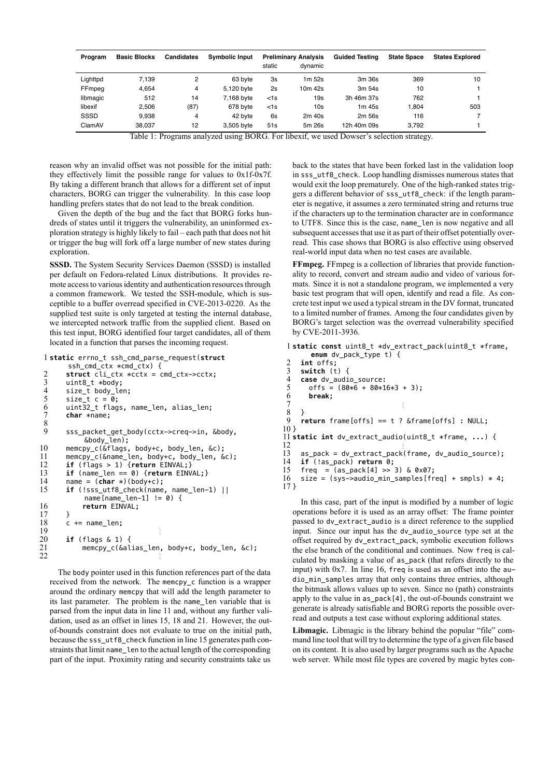| Program  | <b>Basic Blocks</b> | <b>Candidates</b> | <b>Symbolic Input</b> | <b>Preliminary Analysis</b> |           | <b>Guided Testing</b> | <b>State Space</b> | <b>States Explored</b> |
|----------|---------------------|-------------------|-----------------------|-----------------------------|-----------|-----------------------|--------------------|------------------------|
|          |                     |                   |                       | static                      | dynamic   |                       |                    |                        |
| Lighttpd | 7,139               | 2                 | 63 byte               | 3s                          | 1m 52s    | 3m 36s                | 369                | 10                     |
| FFmpeg   | 4,654               | 4                 | 5.120 byte            | 2s                          | $10m$ 42s | 3m 54s                | 10                 |                        |
| libmagic | 512                 | 14                | 7.168 byte            | $<$ 1s                      | 19s       | 3h 46m 37s            | 762                |                        |
| libexif  | 2.506               | (87)              | 678 byte              | $<$ 1s                      | 10s       | 1m 45s                | 1.804              | 503                    |
| SSSD     | 9.938               | 4                 | 42 byte               | 6s                          | 2m 40s    | 2m 56s                | 116                |                        |
| ClamAV   | 38.037              | 12                | 3,505 byte            | 51s                         | 5m 26s    | 12h 40m 09s           | 3.792              |                        |

Table 1: Programs analyzed using BORG. For libexif, we used Dowser's selection strategy.

reason why an invalid offset was not possible for the initial path: they effectively limit the possible range for values to 0x1f-0x7f. By taking a different branch that allows for a different set of input characters, BORG can trigger the vulnerability. In this case loop handling prefers states that do not lead to the break condition.

Given the depth of the bug and the fact that BORG forks hundreds of states until it triggers the vulnerability, an uninformed exploration strategy is highly likely to fail – each path that does not hit or trigger the bug will fork off a large number of new states during exploration.

**SSSD.** The System Security Services Daemon (SSSD) is installed per default on Fedora-related Linux distributions. It provides remote access to various identity and authentication resources through a common framework. We tested the SSH-module, which is susceptible to a buffer overread specified in CVE-2013-0220. As the supplied test suite is only targeted at testing the internal database, we intercepted network traffic from the supplied client. Based on this test input, BORG identified four target candidates, all of them located in a function that parses the incoming request.

```
1 static errno_t ssh_cmd_parse_request(struct
           ssh_cmd_ctx *cmd_ctx) {
  2 struct cli_ctx *cctx = cmd_ctx->cctx;<br>3 uint8_t *body;<br>4 size t body len:
           uint8_t *body;
  4 size_t body len;<br>5 size_t c = 0;
  5 size_t c = 0;<br>6 uint32_t flag<br>7 char *name;
           uint32_t flags, name_len, alias_len;
           7 char *name;
 \frac{8}{9}sss_packet_get_body(cctx->creq->in, &body,
                  \overline{\text{abody len}};
10 memcpy_c(&flags, body+c, body_len, &c);
11 memcpy_c(&name_len, body+c, body_len, &c);
12 if (flags > 1) {return EINVAL;}
13 if (name_len == \emptyset) {return EINVAL;}<br>14 name = (char *)(body+c);
14 name = (char *)(body+c);<br>15 if (!sss_utf8_check(name
           15 if (!sss_utf8_check(name, name_len-1) ||
                  name[name_len-1] != 0) {
16 return EINVAL;
\begin{matrix} 17 & 3 \\ 18 & 6 \end{matrix}18 c += name_len;<br>19
19 . The set of \overline{1} is the set of \overline{1} is the set of \overline{1} is the set of \overline{1} is the set of \overline{1} is the set of \overline{1} is the set of \overline{1} is the set of \overline{1} is the set of \overline{1} is the set
                                                  .
                                                  .
20 if (flags & 1) {<br>21 memcpy_c(&al<br>22
21 memcpy_c(&alias_len, body+c, body_len, &c);
22 .
                                                  .
```
The body pointer used in this function references part of the data received from the network. The memcpy\_c function is a wrapper around the ordinary memcpy that will add the length parameter to its last parameter. The problem is the name\_len variable that is parsed from the input data in line 11 and, without any further validation, used as an offset in lines 15, 18 and 21. However, the outof-bounds constraint does not evaluate to true on the initial path, because the sss\_utf8\_check function in line 15 generates path constraints that limit name\_len to the actual length of the corresponding part of the input. Proximity rating and security constraints take us

back to the states that have been forked last in the validation loop in sss\_utf8\_check. Loop handling dismisses numerous states that would exit the loop prematurely. One of the high-ranked states triggers a different behavior of sss\_utf8\_check: if the length parameter is negative, it assumes a zero terminated string and returns true if the characters up to the termination character are in conformance to UTF8. Since this is the case, name\_len is now negative and all subsequent accesses that use it as part of their offset potentially overread. This case shows that BORG is also effective using observed real-world input data when no test cases are available.

**FFmpeg.** FFmpeg is a collection of libraries that provide functionality to record, convert and stream audio and video of various formats. Since it is not a standalone program, we implemented a very basic test program that will open, identify and read a file. As concrete test input we used a typical stream in the DV format, truncated to a limited number of frames. Among the four candidates given by BORG's target selection was the overread vulnerability specified by CVE-2011-3936.

```
1 static const uint8_t *dv_extract_pack(uint8_t *frame,
      enum dv_pack_type t) {
```

```
2 int offs;
 3 switch (t) {
 4 case dv_audio_source:
        offs = (80*6 + 80*16*3 + 3);6 break;
 \frac{7}{8}\begin{matrix} 8 \\ 9 \end{matrix} r
      9 return frame[offs] == t ? &frame[offs] : NULL;
10 }
11 static int dv_extract_audio(uint8_t *frame, ...) {<br>12
13 as_pack = dv_extract_pack(frame, dv_audio_source);<br>14 if (!as pack) return 0:
14 if (!as_pack) return 0;
15 freq = (as_pack[4] >> 3) & 0 \times 07;<br>16 size = (sys->audio min samples[fn]
```

```
size = (sys->audio\_min\_samples[freq] + smpls) * 4;17 }
```
In this case, part of the input is modified by a number of logic operations before it is used as an array offset: The frame pointer passed to dv\_extract\_audio is a direct reference to the supplied input. Since our input has the dv\_audio\_source type set at the offset required by dv\_extract\_pack, symbolic execution follows the else branch of the conditional and continues. Now freq is calculated by masking a value of as\_pack (that refers directly to the input) with 0x7. In line 16, freq is used as an offset into the audio\_min\_samples array that only contains three entries, although the bitmask allows values up to seven. Since no (path) constraints apply to the value in as\_pack[4], the out-of-bounds constraint we generate is already satisfiable and BORG reports the possible overread and outputs a test case without exploring additional states.

**Libmagic.** Libmagic is the library behind the popular "file" command line tool that will try to determine the type of a given file based on its content. It is also used by larger programs such as the Apache web server. While most file types are covered by magic bytes con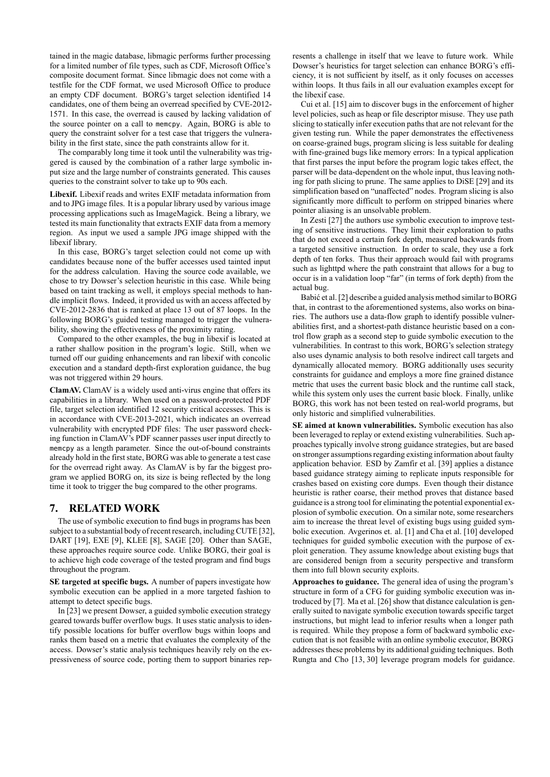tained in the magic database, libmagic performs further processing for a limited number of file types, such as CDF, Microsoft Office's composite document format. Since libmagic does not come with a testfile for the CDF format, we used Microsoft Office to produce an empty CDF document. BORG's target selection identified 14 candidates, one of them being an overread specified by CVE-2012- 1571. In this case, the overread is caused by lacking validation of the source pointer on a call to memcpy. Again, BORG is able to query the constraint solver for a test case that triggers the vulnerability in the first state, since the path constraints allow for it.

The comparably long time it took until the vulnerability was triggered is caused by the combination of a rather large symbolic input size and the large number of constraints generated. This causes queries to the constraint solver to take up to 90s each.

**Libexif.** Libexif reads and writes EXIF metadata information from and to JPG image files. It is a popular library used by various image processing applications such as ImageMagick. Being a library, we tested its main functionality that extracts EXIF data from a memory region. As input we used a sample JPG image shipped with the libexif library.

In this case, BORG's target selection could not come up with candidates because none of the buffer accesses used tainted input for the address calculation. Having the source code available, we chose to try Dowser's selection heuristic in this case. While being based on taint tracking as well, it employs special methods to handle implicit flows. Indeed, it provided us with an access affected by CVE-2012-2836 that is ranked at place 13 out of 87 loops. In the following BORG's guided testing managed to trigger the vulnerability, showing the effectiveness of the proximity rating.

Compared to the other examples, the bug in libexif is located at a rather shallow position in the program's logic. Still, when we turned off our guiding enhancements and ran libexif with concolic execution and a standard depth-first exploration guidance, the bug was not triggered within 29 hours.

**ClamAV.** ClamAV is a widely used anti-virus engine that offers its capabilities in a library. When used on a password-protected PDF file, target selection identified 12 security critical accesses. This is in accordance with CVE-2013-2021, which indicates an overread vulnerability with encrypted PDF files: The user password checking function in ClamAV's PDF scanner passes user input directly to memcpy as a length parameter. Since the out-of-bound constraints already hold in the first state, BORG was able to generate a test case for the overread right away. As ClamAV is by far the biggest program we applied BORG on, its size is being reflected by the long time it took to trigger the bug compared to the other programs.

# 7. RELATED WORK

The use of symbolic execution to find bugs in programs has been subject to a substantial body of recent research, including CUTE [32], DART [19], EXE [9], KLEE [8], SAGE [20]. Other than SAGE, these approaches require source code. Unlike BORG, their goal is to achieve high code coverage of the tested program and find bugs throughout the program.

**SE targeted at specific bugs.** A number of papers investigate how symbolic execution can be applied in a more targeted fashion to attempt to detect specific bugs.

In [23] we present Dowser, a guided symbolic execution strategy geared towards buffer overflow bugs. It uses static analysis to identify possible locations for buffer overflow bugs within loops and ranks them based on a metric that evaluates the complexity of the access. Dowser's static analysis techniques heavily rely on the expressiveness of source code, porting them to support binaries rep-

resents a challenge in itself that we leave to future work. While Dowser's heuristics for target selection can enhance BORG's efficiency, it is not sufficient by itself, as it only focuses on accesses within loops. It thus fails in all our evaluation examples except for the libexif case.

Cui et al. [15] aim to discover bugs in the enforcement of higher level policies, such as heap or file descriptor misuse. They use path slicing to statically infer execution paths that are not relevant for the given testing run. While the paper demonstrates the effectiveness on coarse-grained bugs, program slicing is less suitable for dealing with fine-grained bugs like memory errors: In a typical application that first parses the input before the program logic takes effect, the parser will be data-dependent on the whole input, thus leaving nothing for path slicing to prune. The same applies to DiSE [29] and its simplification based on "unaffected" nodes. Program slicing is also significantly more difficult to perform on stripped binaries where pointer aliasing is an unsolvable problem.

In Zesti [27] the authors use symbolic execution to improve testing of sensitive instructions. They limit their exploration to paths that do not exceed a certain fork depth, measured backwards from a targeted sensitive instruction. In order to scale, they use a fork depth of ten forks. Thus their approach would fail with programs such as lighttpd where the path constraint that allows for a bug to occur is in a validation loop "far" (in terms of fork depth) from the actual bug.

Babić et al. [2] describe a guided analysis method similar to BORG that, in contrast to the aforementioned systems, also works on binaries. The authors use a data-flow graph to identify possible vulnerabilities first, and a shortest-path distance heuristic based on a control flow graph as a second step to guide symbolic execution to the vulnerabilities. In contrast to this work, BORG's selection strategy also uses dynamic analysis to both resolve indirect call targets and dynamically allocated memory. BORG additionally uses security constraints for guidance and employs a more fine grained distance metric that uses the current basic block and the runtime call stack, while this system only uses the current basic block. Finally, unlike BORG, this work has not been tested on real-world programs, but only historic and simplified vulnerabilities.

**SE aimed at known vulnerabilities.** Symbolic execution has also been leveraged to replay or extend existing vulnerabilities. Such approaches typically involve strong guidance strategies, but are based on stronger assumptions regarding existing information about faulty application behavior. ESD by Zamfir et al. [39] applies a distance based guidance strategy aiming to replicate inputs responsible for crashes based on existing core dumps. Even though their distance heuristic is rather coarse, their method proves that distance based guidance is a strong tool for eliminating the potential exponential explosion of symbolic execution. On a similar note, some researchers aim to increase the threat level of existing bugs using guided symbolic execution. Avgerinos et. al. [1] and Cha et al. [10] developed techniques for guided symbolic execution with the purpose of exploit generation. They assume knowledge about existing bugs that are considered benign from a security perspective and transform them into full blown security exploits.

**Approaches to guidance.** The general idea of using the program's structure in form of a CFG for guiding symbolic execution was introduced by [7]. Ma et al. [26] show that distance calculation is generally suited to navigate symbolic execution towards specific target instructions, but might lead to inferior results when a longer path is required. While they propose a form of backward symbolic execution that is not feasible with an online symbolic executor, BORG addresses these problems by its additional guiding techniques. Both Rungta and Cho [13, 30] leverage program models for guidance.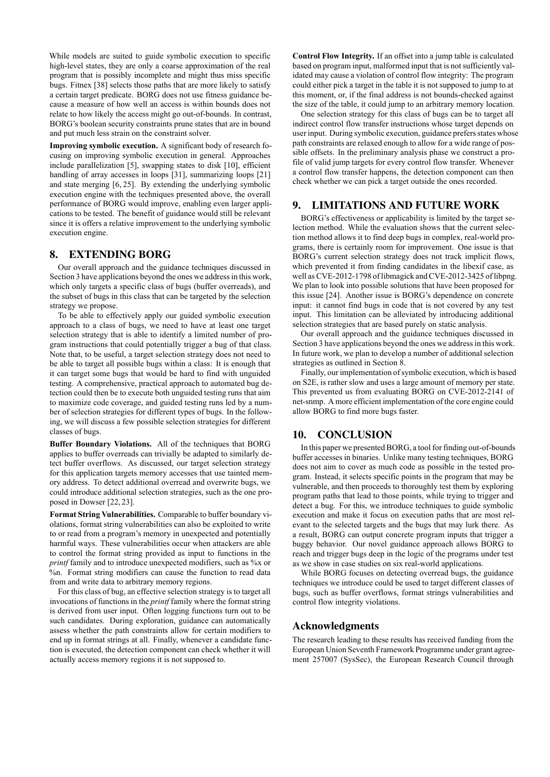While models are suited to guide symbolic execution to specific high-level states, they are only a coarse approximation of the real program that is possibly incomplete and might thus miss specific bugs. Fitnex [38] selects those paths that are more likely to satisfy a certain target predicate. BORG does not use fitness guidance because a measure of how well an access is within bounds does not relate to how likely the access might go out-of-bounds. In contrast, BORG's boolean security constraints prune states that are in bound and put much less strain on the constraint solver.

**Improving symbolic execution.** A significant body of research focusing on improving symbolic execution in general. Approaches include parallelization [5], swapping states to disk [10], efficient handling of array accesses in loops [31], summarizing loops [21] and state merging [6, 25]. By extending the underlying symbolic execution engine with the techniques presented above, the overall performance of BORG would improve, enabling even larger applications to be tested. The benefit of guidance would still be relevant since it is offers a relative improvement to the underlying symbolic execution engine.

# 8. EXTENDING BORG

Our overall approach and the guidance techniques discussed in Section 3 have applications beyond the ones we address in this work, which only targets a specific class of bugs (buffer overreads), and the subset of bugs in this class that can be targeted by the selection strategy we propose.

To be able to effectively apply our guided symbolic execution approach to a class of bugs, we need to have at least one target selection strategy that is able to identify a limited number of program instructions that could potentially trigger a bug of that class. Note that, to be useful, a target selection strategy does not need to be able to target all possible bugs within a class: It is enough that it can target some bugs that would be hard to find with unguided testing. A comprehensive, practical approach to automated bug detection could then be to execute both unguided testing runs that aim to maximize code coverage, and guided testing runs led by a number of selection strategies for different types of bugs. In the following, we will discuss a few possible selection strategies for different classes of bugs.

**Buffer Boundary Violations.** All of the techniques that BORG applies to buffer overreads can trivially be adapted to similarly detect buffer overflows. As discussed, our target selection strategy for this application targets memory accesses that use tainted memory address. To detect additional overread and overwrite bugs, we could introduce additional selection strategies, such as the one proposed in Dowser [22, 23].

**Format String Vulnerabilities.** Comparable to buffer boundary violations, format string vulnerabilities can also be exploited to write to or read from a program's memory in unexpected and potentially harmful ways. These vulnerabilities occur when attackers are able to control the format string provided as input to functions in the *printf* family and to introduce unexpected modifiers, such as %x or %n. Format string modifiers can cause the function to read data from and write data to arbitrary memory regions.

For this class of bug, an effective selection strategy is to target all invocations of functions in the *printf* family where the format string is derived from user input. Often logging functions turn out to be such candidates. During exploration, guidance can automatically assess whether the path constraints allow for certain modifiers to end up in format strings at all. Finally, whenever a candidate function is executed, the detection component can check whether it will actually access memory regions it is not supposed to.

**Control Flow Integrity.** If an offset into a jump table is calculated based on program input, malformed input that is not sufficiently validated may cause a violation of control flow integrity: The program could either pick a target in the table it is not supposed to jump to at this moment, or, if the final address is not bounds-checked against the size of the table, it could jump to an arbitrary memory location.

One selection strategy for this class of bugs can be to target all indirect control flow transfer instructions whose target depends on user input. During symbolic execution, guidance prefers states whose path constraints are relaxed enough to allow for a wide range of possible offsets. In the preliminary analysis phase we construct a profile of valid jump targets for every control flow transfer. Whenever a control flow transfer happens, the detection component can then check whether we can pick a target outside the ones recorded.

## 9. LIMITATIONS AND FUTURE WORK

BORG's effectiveness or applicability is limited by the target selection method. While the evaluation shows that the current selection method allows it to find deep bugs in complex, real-world programs, there is certainly room for improvement. One issue is that BORG's current selection strategy does not track implicit flows, which prevented it from finding candidates in the libexif case, as well as CVE-2012-1798 of libmagick and CVE-2012-3425 of libpng. We plan to look into possible solutions that have been proposed for this issue [24]. Another issue is BORG's dependence on concrete input: it cannot find bugs in code that is not covered by any test input. This limitation can be alleviated by introducing additional selection strategies that are based purely on static analysis.

Our overall approach and the guidance techniques discussed in Section 3 have applications beyond the ones we address in this work. In future work, we plan to develop a number of additional selection strategies as outlined in Section 8.

Finally, our implementation of symbolic execution, which is based on S2E, is rather slow and uses a large amount of memory per state. This prevented us from evaluating BORG on CVE-2012-2141 of net-snmp. A more efficient implementation of the core engine could allow BORG to find more bugs faster.

# 10. CONCLUSION

In this paper we presented BORG, a tool for finding out-of-bounds buffer accesses in binaries. Unlike many testing techniques, BORG does not aim to cover as much code as possible in the tested program. Instead, it selects specific points in the program that may be vulnerable, and then proceeds to thoroughly test them by exploring program paths that lead to those points, while trying to trigger and detect a bug. For this, we introduce techniques to guide symbolic execution and make it focus on execution paths that are most relevant to the selected targets and the bugs that may lurk there. As a result, BORG can output concrete program inputs that trigger a buggy behavior. Our novel guidance approach allows BORG to reach and trigger bugs deep in the logic of the programs under test as we show in case studies on six real-world applications.

While BORG focuses on detecting overread bugs, the guidance techniques we introduce could be used to target different classes of bugs, such as buffer overflows, format strings vulnerabilities and control flow integrity violations.

## Acknowledgments

The research leading to these results has received funding from the European Union Seventh Framework Programme under grant agreement 257007 (SysSec), the European Research Council through